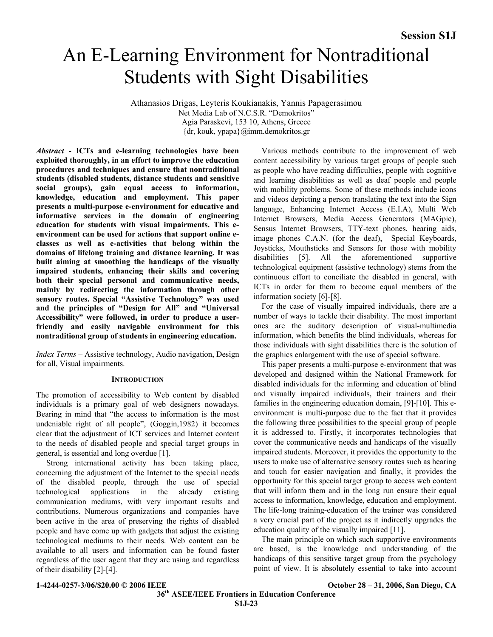# An E-Learning Environment for Nontraditional Students with Sight Disabilities

Athanasios Drigas, Leyteris Koukianakis, Yannis Papagerasimou Net Media Lab of N.C.S.R. "Demokritos" Agia Paraskevi, 153 10, Athens, Greece {dr, kouk, ypapa}@imm.demokritos.gr

*Abstract* **- ICTs and e-learning technologies have been exploited thoroughly, in an effort to improve the education procedures and techniques and ensure that nontraditional students (disabled students, distance students and sensitive social groups), gain equal access to information, knowledge, education and employment. This paper presents a multi-purpose e-environment for educative and informative services in the domain of engineering education for students with visual impairments. This eenvironment can be used for actions that support online eclasses as well as e-activities that belong within the domains of lifelong training and distance learning. It was built aiming at smoothing the handicaps of the visually impaired students, enhancing their skills and covering both their special personal and communicative needs, mainly by redirecting the information through other sensory routes. Special "Assistive Technology" was used and the principles of "Design for All" and "Universal Accessibility" were followed, in order to produce a userfriendly and easily navigable environment for this nontraditional group of students in engineering education.** 

*Index Terms* – Assistive technology, Audio navigation, Design for all, Visual impairments.

## **INTRODUCTION**

The promotion of accessibility to Web content by disabled individuals is a primary goal of web designers nowadays. Bearing in mind that "the access to information is the most undeniable right of all people", (Goggin,1982) it becomes clear that the adjustment of ICT services and Internet content to the needs of disabled people and special target groups in general, is essential and long overdue [1].

 Strong international activity has been taking place, concerning the adjustment of the Internet to the special needs of the disabled people, through the use of special technological applications in the already existing communication mediums, with very important results and contributions. Numerous organizations and companies have been active in the area of preserving the rights of disabled people and have come up with gadgets that adjust the existing technological mediums to their needs. Web content can be available to all users and information can be found faster regardless of the user agent that they are using and regardless of their disability [2]-[4].

Various methods contribute to the improvement of web content accessibility by various target groups of people such as people who have reading difficulties, people with cognitive and learning disabilities as well as deaf people and people with mobility problems. Some of these methods include icons and videos depicting a person translating the text into the Sign language, Enhancing Internet Access (E.I.A), Multi Web Internet Browsers, Media Access Generators (MAGpie), Sensus Internet Browsers, ΤΤΥ-text phones, hearing aids, image phones C.A.N. (for the deaf), Special Keyboards, Joysticks, Mouthsticks and Sensors for those with mobility disabilities [5]. All the aforementioned supportive technological equipment (assistive technology) stems from the continuous effort to conciliate the disabled in general, with ICTs in order for them to become equal members of the information society [6]-[8].

For the case of visually impaired individuals, there are a number of ways to tackle their disability. The most important ones are the auditory description of visual-multimedia information, which benefits the blind individuals, whereas for those individuals with sight disabilities there is the solution of the graphics enlargement with the use of special software.

This paper presents a multi-purpose e-environment that was developed and designed within the National Framework for disabled individuals for the informing and education of blind and visually impaired individuals, their trainers and their families in the engineering education domain, [9]-[10]. This eenvironment is multi-purpose due to the fact that it provides the following three possibilities to the special group of people it is addressed to. Firstly, it incorporates technologies that cover the communicative needs and handicaps of the visually impaired students. Moreover, it provides the opportunity to the users to make use of alternative sensory routes such as hearing and touch for easier navigation and finally, it provides the opportunity for this special target group to access web content that will inform them and in the long run ensure their equal access to information, knowledge, education and employment. The life-long training-education of the trainer was considered a very crucial part of the project as it indirectly upgrades the education quality of the visually impaired [11].

The main principle on which such supportive environments are based, is the knowledge and understanding of the handicaps of this sensitive target group from the psychology point of view. It is absolutely essential to take into account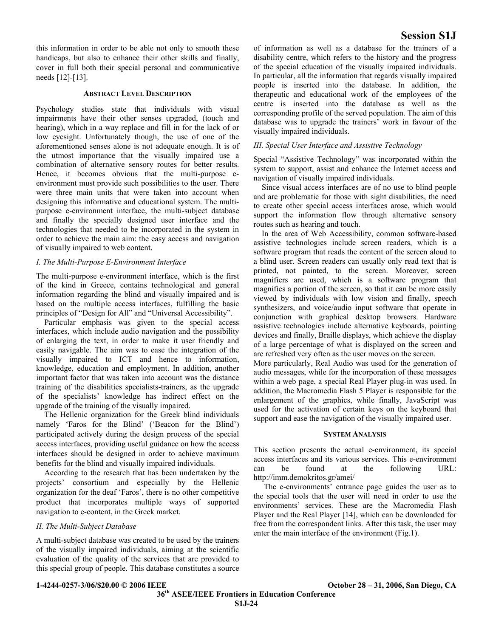this information in order to be able not only to smooth these handicaps, but also to enhance their other skills and finally, cover in full both their special personal and communicative needs [12]-[13].

#### **ABSTRACT LEVEL DESCRIPTION**

Psychology studies state that individuals with visual impairments have their other senses upgraded, (touch and hearing), which in a way replace and fill in for the lack of or low eyesight. Unfortunately though, the use of one of the aforementioned senses alone is not adequate enough. It is of the utmost importance that the visually impaired use a combination of alternative sensory routes for better results. Hence, it becomes obvious that the multi-purpose eenvironment must provide such possibilities to the user. There were three main units that were taken into account when designing this informative and educational system. The multipurpose e-environment interface, the multi-subject database and finally the specially designed user interface and the technologies that needed to be incorporated in the system in order to achieve the main aim: the easy access and navigation of visually impaired to web content.

## *I. The Multi-Purpose E-Environment Interface*

The multi-purpose e-environment interface, which is the first of the kind in Greece, contains technological and general information regarding the blind and visually impaired and is based on the multiple access interfaces, fulfilling the basic principles of "Design for All" and "Universal Accessibility".

Particular emphasis was given to the special access interfaces, which include audio navigation and the possibility of enlarging the text, in order to make it user friendly and easily navigable. The aim was to ease the integration of the visually impaired to ICT and hence to information, knowledge, education and employment. In addition, another important factor that was taken into account was the distance training of the disabilities specialists-trainers, as the upgrade of the specialists' knowledge has indirect effect on the upgrade of the training of the visually impaired.

The Hellenic organization for the Greek blind individuals namely 'Faros for the Blind' ('Beacon for the Blind') participated actively during the design process of the special access interfaces, providing useful guidance on how the access interfaces should be designed in order to achieve maximum benefits for the blind and visually impaired individuals.

According to the research that has been undertaken by the projects' consortium and especially by the Hellenic organization for the deaf 'Faros', there is no other competitive product that incorporates multiple ways of supported navigation to e-content, in the Greek market.

# *II. The Multi-Subject Database*

A multi-subject database was created to be used by the trainers of the visually impaired individuals, aiming at the scientific evaluation of the quality of the services that are provided to this special group of people. This database constitutes a source of information as well as a database for the trainers of a disability centre, which refers to the history and the progress of the special education of the visually impaired individuals. In particular, all the information that regards visually impaired people is inserted into the database. In addition, the therapeutic and educational work of the employees of the centre is inserted into the database as well as the corresponding profile of the served population. The aim of this database was to upgrade the trainers' work in favour of the visually impaired individuals.

# *III. Special User Interface and Assistive Technology*

Special "Assistive Technology" was incorporated within the system to support, assist and enhance the Internet access and navigation of visually impaired individuals.

Since visual access interfaces are of no use to blind people and are problematic for those with sight disabilities, the need to create other special access interfaces arose, which would support the information flow through alternative sensory routes such as hearing and touch.

In the area of Web Accessibility, common software-based assistive technologies include screen readers, which is a software program that reads the content of the screen aloud to a blind user. Screen readers can usually only read text that is printed, not painted, to the screen. Moreover, screen magnifiers are used, which is a software program that magnifies a portion of the screen, so that it can be more easily viewed by individuals with low vision and finally, speech synthesizers, and voice/audio input software that operate in conjunction with graphical desktop browsers. Hardware assistive technologies include alternative keyboards, pointing devices and finally, Braille displays, which achieve the display of a large percentage of what is displayed on the screen and are refreshed very often as the user moves on the screen.

More particularly, Real Audio was used for the generation of audio messages, while for the incorporation of these messages within a web page, a special Real Player plug-in was used. In addition, the Macromedia Flash 5 Player is responsible for the enlargement of the graphics, while finally, JavaScript was used for the activation of certain keys on the keyboard that support and ease the navigation of the visually impaired user.

## **SYSTEM ANALYSIS**

This section presents the actual e-environment, its special access interfaces and its various services. This e-environment can be found at the following URL: http://imm.demokritos.gr/amei/

 The e-environments' entrance page guides the user as to the special tools that the user will need in order to use the environments' services. These are the Macromedia Flash Player and the Real Player [14], which can be downloaded for free from the correspondent links. After this task, the user may enter the main interface of the environment (Fig.1).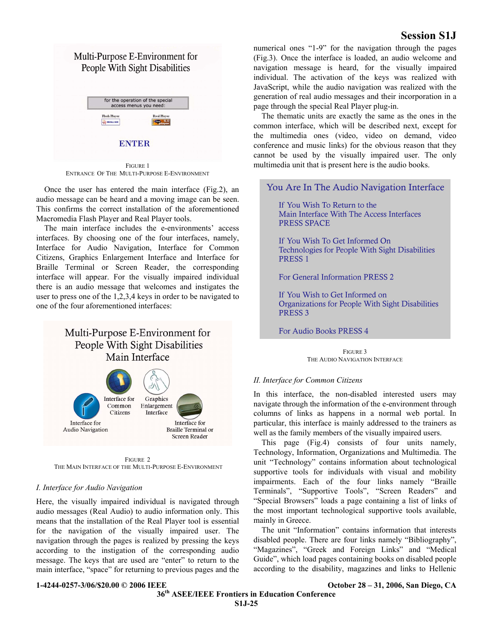

FIGURE 1 ENTRANCE OF THE MULTI-PURPOSE E-ENVIRONMENT

Once the user has entered the main interface (Fig.2), an audio message can be heard and a moving image can be seen. This confirms the correct installation of the aforementioned Macromedia Flash Player and Real Player tools.

The main interface includes the e-environments' access interfaces. By choosing one of the four interfaces, namely, Interface for Audio Navigation, Interface for Common Citizens, Graphics Enlargement Interface and Interface for Braille Terminal or Screen Reader, the corresponding interface will appear. For the visually impaired individual there is an audio message that welcomes and instigates the user to press one of the 1,2,3,4 keys in order to be navigated to one of the four aforementioned interfaces:



FIGURE 2 THE MAIN INTERFACE OF THE MULTI-PURPOSE E-ENVIRONMENT

## *I. Interface for Audio Navigation*

Here, the visually impaired individual is navigated through audio messages (Real Audio) to audio information only. This means that the installation of the Real Player tool is essential for the navigation of the visually impaired user. The navigation through the pages is realized by pressing the keys according to the instigation of the corresponding audio message. The keys that are used are "enter" to return to the main interface, "space" for returning to previous pages and the

# **Session S1J**

numerical ones "1-9" for the navigation through the pages (Fig.3). Once the interface is loaded, an audio welcome and navigation message is heard, for the visually impaired individual. The activation of the keys was realized with JavaScript, while the audio navigation was realized with the generation of real audio messages and their incorporation in a page through the special Real Player plug-in.

The thematic units are exactly the same as the ones in the common interface, which will be described next, except for the multimedia ones (video, video on demand, video conference and music links) for the obvious reason that they cannot be used by the visually impaired user. The only multimedia unit that is present here is the audio books.

# You Are In The Audio Navigation Interface

If You Wish To Return to the Main Interface With The Access Interfaces PRESS SPACE

If You Wish To Get Informed On Technologies for People With Sight Disabilities PRESS<sub>1</sub>

For General Information PRESS 2

If You Wish to Get Informed on Organizations for People With Sight Disabilities PRESS<sub>3</sub>

For Audio Books PRESS 4

FIGURE 3 THE AUDIO NAVIGATION INTERFACE

#### *II. Interface for Common Citizens*

In this interface, the non-disabled interested users may navigate through the information of the e-environment through columns of links as happens in a normal web portal. In particular, this interface is mainly addressed to the trainers as well as the family members of the visually impaired users.

This page (Fig.4) consists of four units namely, Technology, Information, Organizations and Multimedia. The unit "Technology" contains information about technological supportive tools for individuals with visual and mobility impairments. Each of the four links namely "Braille Terminals", "Supportive Tools", "Screen Readers" and "Special Browsers" loads a page containing a list of links of the most important technological supportive tools available, mainly in Greece.

The unit "Information" contains information that interests disabled people. There are four links namely "Bibliography", "Magazines", "Greek and Foreign Links" and "Medical Guide", which load pages containing books on disabled people according to the disability, magazines and links to Hellenic

# **1-4244-0257-3/06/\$20.00 © 2006 IEEE October 28 – 31, 2006, San Diego, CA**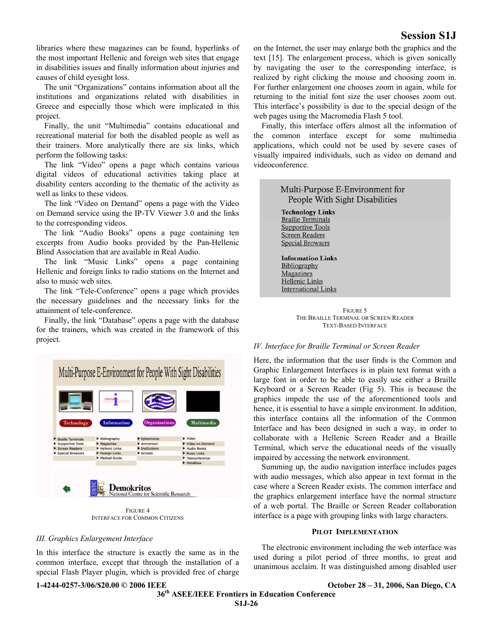libraries where these magazines can be found, hyperlinks of the most important Hellenic and foreign web sites that engage in disabilities issues and finally information about injuries and causes of child eyesight loss.

The unit "Organizations" contains information about all the institutions and organizations related with disabilities in Greece and especially those which were implicated in this project.

Finally, the unit "Multimedia" contains educational and recreational material for both the disabled people as well as their trainers. More analytically there are six links, which perform the following tasks:

The link "Video" opens a page which contains various digital videos of educational activities taking place at disability centers according to the thematic of the activity as well as links to these videos.

The link "Video on Demand" opens a page with the Video on Demand service using the IP-TV Viewer 3.0 and the links to the corresponding videos.

The link "Audio Books" opens a page containing ten excerpts from Audio books provided by the Pan-Hellenic Blind Association that are available in Real Audio.

The link "Music Links" opens a page containing Hellenic and foreign links to radio stations on the Internet and also to music web sites.

The link "Tele-Conference" opens a page which provides the necessary guidelines and the necessary links for the attainment of tele-conference.

Finally, the link "Database" opens a page with the database for the trainers, which was created in the framework of this project.



FIGURE 4 INTERFACE FOR COMMON CITIZENS

## *III. Graphics Enlargement Interface*

In this interface the structure is exactly the same as in the common interface, except that through the installation of a special Flash Player plugin, which is provided free of charge

**Session S1J**  on the Internet, the user may enlarge both the graphics and the text [15]. The enlargement process, which is given sonically by navigating the user to the corresponding interface, is realized by right clicking the mouse and choosing zoom in. For further enlargement one chooses zoom in again, while for

returning to the initial font size the user chooses zoom out. This interface's possibility is due to the special design of the web pages using the Macromedia Flash 5 tool.

Finally, this interface offers almost all the information of the common interface except for some multimedia applications, which could not be used by severe cases of visually impaired individuals, such as video on demand and videoconference.





#### *IV. Interface for Braille Terminal or Screen Reader*

Here, the information that the user finds is the Common and Graphic Enlargement Interfaces is in plain text format with a large font in order to be able to easily use either a Braille Keyboard or a Screen Reader (Fig 5). This is because the graphics impede the use of the aforementioned tools and hence, it is essential to have a simple environment. In addition, this interface contains all the information of the Common Interface and has been designed in such a way, in order to collaborate with a Hellenic Screen Reader and a Braille Terminal, which serve the educational needs of the visually impaired by accessing the network environment.

Summing up, the audio navigation interface includes pages with audio messages, which also appear in text format in the case where a Screen Reader exists. The common interface and the graphics enlargement interface have the normal structure of a web portal. The Braille or Screen Reader collaboration interface is a page with grouping links with large characters.

#### **PILOT IMPLEMENTATION**

The electronic environment including the web interface was used during a pilot period of three months, to great and unanimous acclaim. It was distinguished among disabled user

#### **1-4244-0257-3/06/\$20.00 © 2006 IEEE October 28 – 31, 2006, San Diego, CA**